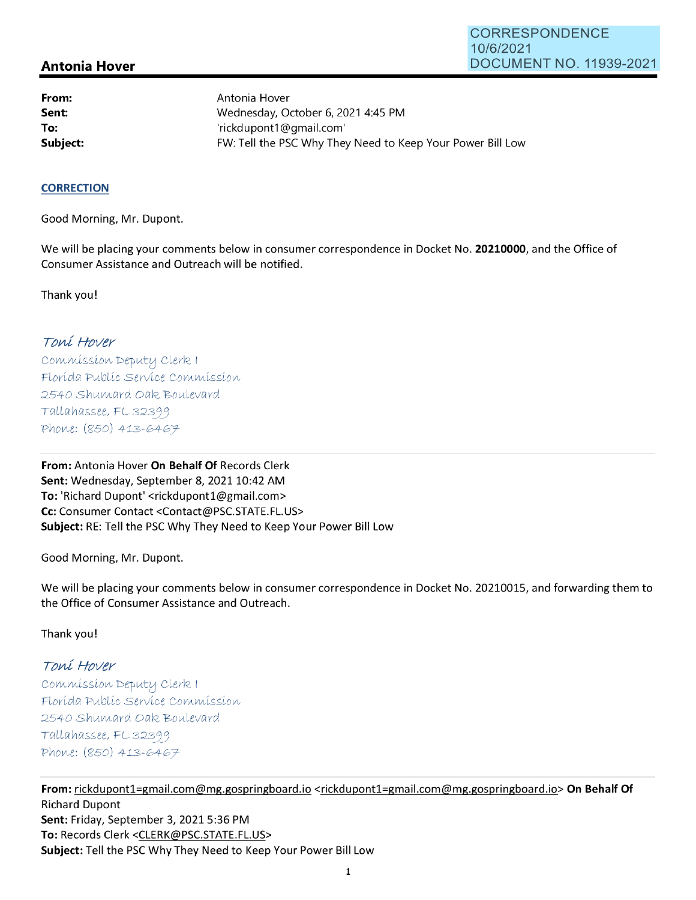## **Antonia Hover**

**From: Sent: To:** 

Antonia Hover Wednesday, October 6, 2021 4:45 PM 'rickdupont1@gmail.com' **Subject: EXALG:** FW: Tell the PSC Why They Need to Keep Your Power Bill Low

## **CORRECTION**

Good Morning, Mr. Dupont.

We will be placing your comments below in consumer correspondence in Docket No. **20210000,** and the Office of Consumer Assistance and Outreach will be notified.

Thank you!

## Toní Hover

Commission Deputy Clerk 1 Florída Publíc Service Commission 2540 Shumard Oak Boulevard  $Tallahasse, FL 32399$ Phone: (850) 413-6467

**From:** Antonia Hover **On Behalf Of** Records Clerk Sent: Wednesday, September 8, 2021 10:42 AM **To:** 'Richard Dupont' <rickdupont1@gmail.com> **Cc:** Consumer Contact <Contact@PSC.STATE.FL.US> **Subject:** RE: Tell the PSC Why They Need to Keep Your Power Bill Low

Good Morning, Mr. Dupont.

We will be placing your comments below in consumer correspondence in Docket No. 20210015, and forwarding them to the Office of Consumer Assistance and Outreach.

Thank you!

## Toní Hover

 $Commonission$  Deputy Clerk I Florída Publíc Servíce Commission 2540 Shumard Oak Boulevard  $Tallahasse, FL 32399$ Phone: (850) 413-6467

**From:** rickdupont1=gmail.com@mg.gospringboard.io <rickdupont1=gmail.com@mg.gospringboard.io> **On Behalf Of**  Richard Dupont **Sent:** Friday, September 3, 2021 5:36 PM **To:** Records Clerk <CLERK@PSC.STATE.FL.US> **Subject:** Tell the PSC Why They Need to Keep Your Power Bill Low